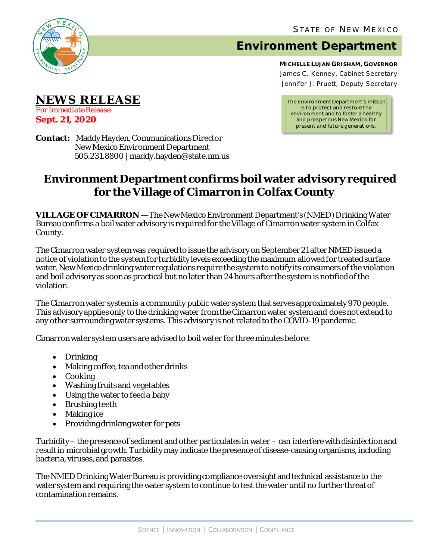

**NEWS RELEASE**

*For Immediate Release* **Sept. 21, 2020**

## **Environment Department**

**MICHELLE LUJAN GRISHAM, GOVERNOR** James C. Kenney, Cabinet Secretary Jennifer J. Pruett, Deputy Secretary

*The Environment Department's mission is to protect and restore the environment and to foster a healthy and prosperous New Mexico for present and future generations.*

**Contact:** Maddy Hayden, Communications Director New Mexico Environment Department 505.231.8800 | maddy.hayden@state.nm.us

## **Environment Department confirms boil water advisory required for the Village of Cimarron in Colfax County**

**VILLAGE OF CIMARRON** — The New Mexico Environment Department's (NMED) Drinking Water Bureau confirms a boil water advisory is required for the Village of Cimarron water system in Colfax County.

The Cimarron water system was required to issue the advisory on September 21 after NMED issued a notice of violation to the system for turbidity levels exceeding the maximum allowed for treated surface water. New Mexico drinking water regulations require the system to notify its consumers of the violation and boil advisory as soon as practical but no later than 24 hours after the system is notified of the violation.

The Cimarron water system is a community public water system that serves approximately 970 people. This advisory applies only to the drinking water from the Cimarron water system and does not extend to any other surrounding water systems. This advisory is not related to the COVID-19 pandemic.

Cimarronwater system users are advised to boil water for three minutes before:

- Drinking
- Making coffee, tea and other drinks
- Cooking
- Washing fruits and vegetables
- Using the water to feed a baby
- Brushing teeth
- Making ice
- Providing drinking water for pets

Turbidity– the presence of sediment and other particulates in water – can interfere with disinfection and result in microbial growth. Turbidity may indicate the presence of disease-causing organisms, including bacteria, viruses, and parasites.

The NMED Drinking Water Bureau is providing compliance oversight and technical assistance to the water system and requiring the water system to continue to test the water until no further threat of contamination remains.